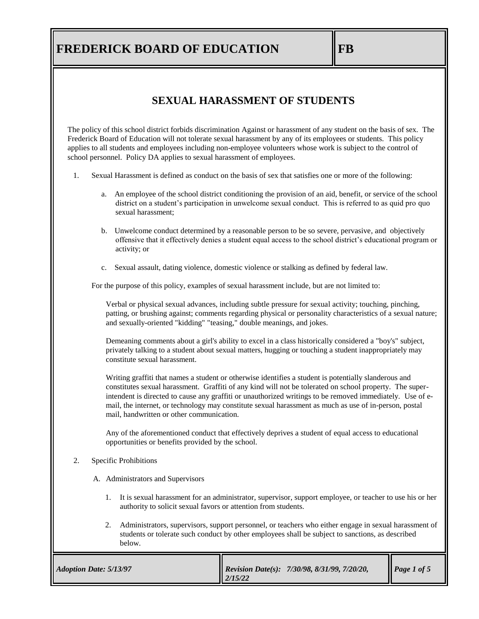#### **SEXUAL HARASSMENT OF STUDENTS**

The policy of this school district forbids discrimination Against or harassment of any student on the basis of sex. The Frederick Board of Education will not tolerate sexual harassment by any of its employees or students. This policy applies to all students and employees including non-employee volunteers whose work is subject to the control of school personnel. Policy DA applies to sexual harassment of employees.

- 1. Sexual Harassment is defined as conduct on the basis of sex that satisfies one or more of the following:
	- a. An employee of the school district conditioning the provision of an aid, benefit, or service of the school district on a student's participation in unwelcome sexual conduct. This is referred to as quid pro quo sexual harassment;
	- b. Unwelcome conduct determined by a reasonable person to be so severe, pervasive, and objectively offensive that it effectively denies a student equal access to the school district's educational program or activity; or
	- c. Sexual assault, dating violence, domestic violence or stalking as defined by federal law.

For the purpose of this policy, examples of sexual harassment include, but are not limited to:

Verbal or physical sexual advances, including subtle pressure for sexual activity; touching, pinching, patting, or brushing against; comments regarding physical or personality characteristics of a sexual nature; and sexually-oriented "kidding" "teasing," double meanings, and jokes.

Demeaning comments about a girl's ability to excel in a class historically considered a "boy's" subject, privately talking to a student about sexual matters, hugging or touching a student inappropriately may constitute sexual harassment.

Writing graffiti that names a student or otherwise identifies a student is potentially slanderous and constitutes sexual harassment. Graffiti of any kind will not be tolerated on school property. The superintendent is directed to cause any graffiti or unauthorized writings to be removed immediately. Use of email, the internet, or technology may constitute sexual harassment as much as use of in-person, postal mail, handwritten or other communication.

Any of the aforementioned conduct that effectively deprives a student of equal access to educational opportunities or benefits provided by the school.

#### 2. Specific Prohibitions

A. Administrators and Supervisors

- 1. It is sexual harassment for an administrator, supervisor, support employee, or teacher to use his or her authority to solicit sexual favors or attention from students.
- 2. Administrators, supervisors, support personnel, or teachers who either engage in sexual harassment of students or tolerate such conduct by other employees shall be subject to sanctions, as described below.

| <b>Adoption Date: 5/13/97</b> | <i>Revision Date(s): 7/30/98, 8/31/99, 7/20/20,</i><br>12/15/22 | Page 1 of 5 |
|-------------------------------|-----------------------------------------------------------------|-------------|
|-------------------------------|-----------------------------------------------------------------|-------------|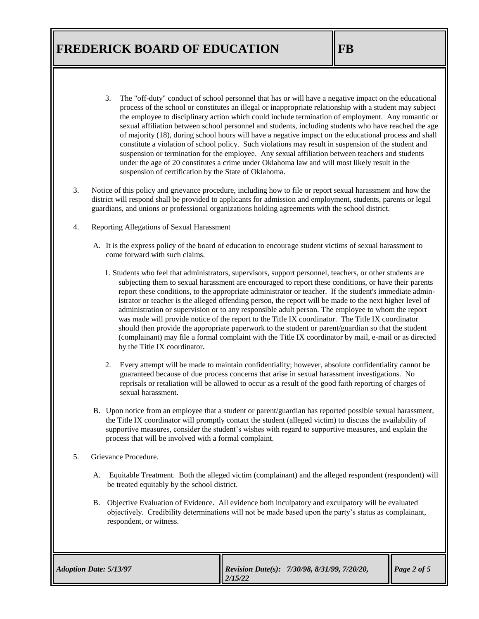- 3. The "off-duty" conduct of school personnel that has or will have a negative impact on the educational process of the school or constitutes an illegal or inappropriate relationship with a student may subject the employee to disciplinary action which could include termination of employment. Any romantic or sexual affiliation between school personnel and students, including students who have reached the age of majority (18), during school hours will have a negative impact on the educational process and shall constitute a violation of school policy. Such violations may result in suspension of the student and suspension or termination for the employee. Any sexual affiliation between teachers and students under the age of 20 constitutes a crime under Oklahoma law and will most likely result in the suspension of certification by the State of Oklahoma.
- 3. Notice of this policy and grievance procedure, including how to file or report sexual harassment and how the district will respond shall be provided to applicants for admission and employment, students, parents or legal guardians, and unions or professional organizations holding agreements with the school district.
- 4. Reporting Allegations of Sexual Harassment
	- A. It is the express policy of the board of education to encourage student victims of sexual harassment to come forward with such claims.
		- 1. Students who feel that administrators, supervisors, support personnel, teachers, or other students are subjecting them to sexual harassment are encouraged to report these conditions, or have their parents report these conditions, to the appropriate administrator or teacher. If the student's immediate administrator or teacher is the alleged offending person, the report will be made to the next higher level of administration or supervision or to any responsible adult person. The employee to whom the report was made will provide notice of the report to the Title IX coordinator. The Title IX coordinator should then provide the appropriate paperwork to the student or parent/guardian so that the student (complainant) may file a formal complaint with the Title IX coordinator by mail, e-mail or as directed by the Title IX coordinator.
		- 2. Every attempt will be made to maintain confidentiality; however, absolute confidentiality cannot be guaranteed because of due process concerns that arise in sexual harassment investigations. No reprisals or retaliation will be allowed to occur as a result of the good faith reporting of charges of sexual harassment.
	- B. Upon notice from an employee that a student or parent/guardian has reported possible sexual harassment, the Title IX coordinator will promptly contact the student (alleged victim) to discuss the availability of supportive measures, consider the student's wishes with regard to supportive measures, and explain the process that will be involved with a formal complaint.
- 5. Grievance Procedure.
	- A. Equitable Treatment. Both the alleged victim (complainant) and the alleged respondent (respondent) will be treated equitably by the school district.
	- B. Objective Evaluation of Evidence. All evidence both inculpatory and exculpatory will be evaluated objectively. Credibility determinations will not be made based upon the party's status as complainant, respondent, or witness.

| Revision Date(s): $7/30/98$ , $8/31/99$ , $7/20/20$ ,<br><b>Adoption Date: 5/13/97</b><br>12/15/22 | Page 2 of 5 |
|----------------------------------------------------------------------------------------------------|-------------|
|----------------------------------------------------------------------------------------------------|-------------|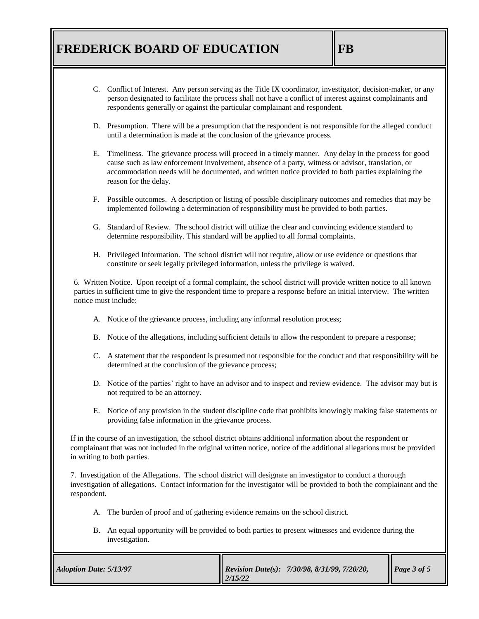- C. Conflict of Interest. Any person serving as the Title IX coordinator, investigator, decision-maker, or any person designated to facilitate the process shall not have a conflict of interest against complainants and respondents generally or against the particular complainant and respondent.
- D. Presumption. There will be a presumption that the respondent is not responsible for the alleged conduct until a determination is made at the conclusion of the grievance process.
- E. Timeliness. The grievance process will proceed in a timely manner. Any delay in the process for good cause such as law enforcement involvement, absence of a party, witness or advisor, translation, or accommodation needs will be documented, and written notice provided to both parties explaining the reason for the delay.
- F. Possible outcomes. A description or listing of possible disciplinary outcomes and remedies that may be implemented following a determination of responsibility must be provided to both parties.
- G. Standard of Review. The school district will utilize the clear and convincing evidence standard to determine responsibility. This standard will be applied to all formal complaints.
- H. Privileged Information. The school district will not require, allow or use evidence or questions that constitute or seek legally privileged information, unless the privilege is waived.

6. Written Notice. Upon receipt of a formal complaint, the school district will provide written notice to all known parties in sufficient time to give the respondent time to prepare a response before an initial interview. The written notice must include:

- A. Notice of the grievance process, including any informal resolution process;
- B. Notice of the allegations, including sufficient details to allow the respondent to prepare a response;
- C. A statement that the respondent is presumed not responsible for the conduct and that responsibility will be determined at the conclusion of the grievance process;
- D. Notice of the parties' right to have an advisor and to inspect and review evidence. The advisor may but is not required to be an attorney.
- E. Notice of any provision in the student discipline code that prohibits knowingly making false statements or providing false information in the grievance process.

If in the course of an investigation, the school district obtains additional information about the respondent or complainant that was not included in the original written notice, notice of the additional allegations must be provided in writing to both parties.

7. Investigation of the Allegations. The school district will designate an investigator to conduct a thorough investigation of allegations. Contact information for the investigator will be provided to both the complainant and the respondent.

- A. The burden of proof and of gathering evidence remains on the school district.
- B. An equal opportunity will be provided to both parties to present witnesses and evidence during the investigation.

| <b>Adoption Date: 5/13/97</b> | <b>Revision Date(s):</b> $7/30/98$ , $8/31/99$ , $7/20/20$ ,<br>12/15/22 | Page 3 of 5 |
|-------------------------------|--------------------------------------------------------------------------|-------------|
|-------------------------------|--------------------------------------------------------------------------|-------------|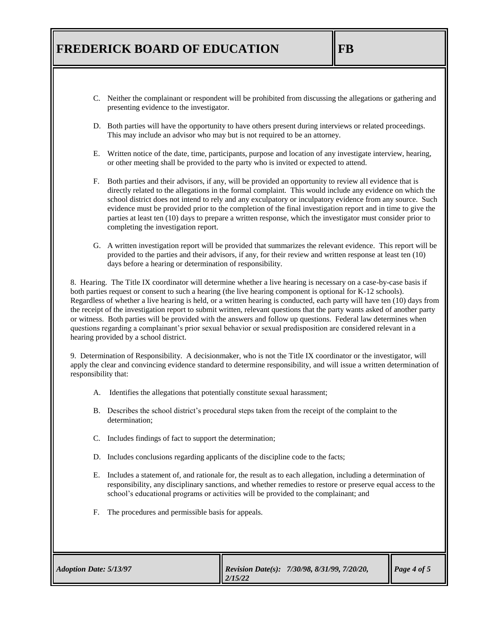- C. Neither the complainant or respondent will be prohibited from discussing the allegations or gathering and presenting evidence to the investigator.
- D. Both parties will have the opportunity to have others present during interviews or related proceedings. This may include an advisor who may but is not required to be an attorney.
- E. Written notice of the date, time, participants, purpose and location of any investigate interview, hearing, or other meeting shall be provided to the party who is invited or expected to attend.
- F. Both parties and their advisors, if any, will be provided an opportunity to review all evidence that is directly related to the allegations in the formal complaint. This would include any evidence on which the school district does not intend to rely and any exculpatory or inculpatory evidence from any source. Such evidence must be provided prior to the completion of the final investigation report and in time to give the parties at least ten (10) days to prepare a written response, which the investigator must consider prior to completing the investigation report.
- G. A written investigation report will be provided that summarizes the relevant evidence. This report will be provided to the parties and their advisors, if any, for their review and written response at least ten (10) days before a hearing or determination of responsibility.

8. Hearing. The Title IX coordinator will determine whether a live hearing is necessary on a case-by-case basis if both parties request or consent to such a hearing (the live hearing component is optional for K-12 schools). Regardless of whether a live hearing is held, or a written hearing is conducted, each party will have ten (10) days from the receipt of the investigation report to submit written, relevant questions that the party wants asked of another party or witness. Both parties will be provided with the answers and follow up questions. Federal law determines when questions regarding a complainant's prior sexual behavior or sexual predisposition are considered relevant in a hearing provided by a school district.

9. Determination of Responsibility. A decisionmaker, who is not the Title IX coordinator or the investigator, will apply the clear and convincing evidence standard to determine responsibility, and will issue a written determination of responsibility that:

- A. Identifies the allegations that potentially constitute sexual harassment;
- B. Describes the school district's procedural steps taken from the receipt of the complaint to the determination;
- C. Includes findings of fact to support the determination;
- D. Includes conclusions regarding applicants of the discipline code to the facts;
- E. Includes a statement of, and rationale for, the result as to each allegation, including a determination of responsibility, any disciplinary sanctions, and whether remedies to restore or preserve equal access to the school's educational programs or activities will be provided to the complainant; and
- F. The procedures and permissible basis for appeals.

| <b>Adoption Date: 5/13/97</b> | <b>Revision Date(s):</b> $7/30/98$ , $8/31/99$ , $7/20/20$ ,<br>$\parallel$ 2/15/22 | $\vert$ Page 4 of 5 |
|-------------------------------|-------------------------------------------------------------------------------------|---------------------|
|-------------------------------|-------------------------------------------------------------------------------------|---------------------|